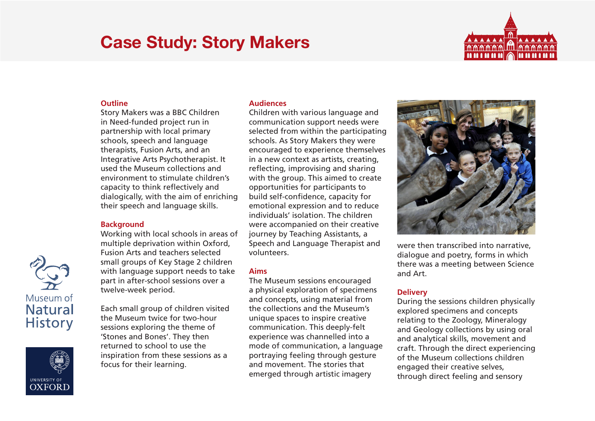# Case Study: Story Makers



### **Outline**

Story Makers was a BBC Children in Need-funded project run in partnership with local primary schools, speech and language therapists, Fusion Arts, and an Integrative Arts Psychotherapist. It used the Museum collections and environment to stimulate children's capacity to think reflectively and dialogically, with the aim of enriching their speech and language skills.

## **Background**

Working with local schools in areas of multiple deprivation within Oxford, Fusion Arts and teachers selected small groups of Key Stage 2 children with language support needs to take part in after-school sessions over a twelve-week period.

Each small group of children visited the Museum twice for two-hour sessions exploring the theme of 'Stones and Bones'. They then returned to school to use the inspiration from these sessions as a focus for their learning.

#### **Audiences**

Children with various language and communication support needs were selected from within the participating schools. As Story Makers they were encouraged to experience themselves in a new context as artists, creating, reflecting, improvising and sharing with the group. This aimed to create opportunities for participants to build self-confidence, capacity for emotional expression and to reduce individuals' isolation. The children were accompanied on their creative journey by Teaching Assistants, a Speech and Language Therapist and volunteers.

#### **Aims**

The Museum sessions encouraged a physical exploration of specimens and concepts, using material from the collections and the Museum's unique spaces to inspire creative communication. This deeply-felt experience was channelled into a mode of communication, a language portraying feeling through gesture and movement. The stories that emerged through artistic imagery



were then transcribed into narrative, dialogue and poetry, forms in which there was a meeting between Science and Art.

# **Delivery**

During the sessions children physically explored specimens and concepts relating to the Zoology, Mineralogy and Geology collections by using oral and analytical skills, movement and craft. Through the direct experiencing of the Museum collections children engaged their creative selves, through direct feeling and sensory



**UNIVERSITY OF OXFORD**